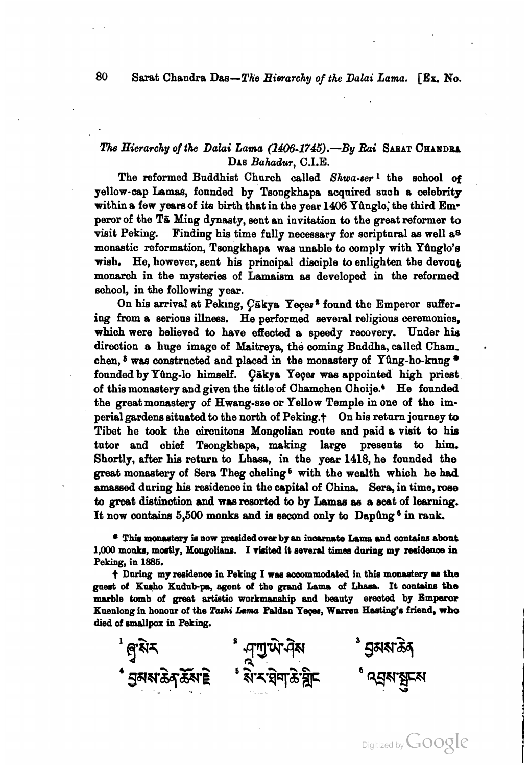## **80** Sarat Chandra Das-The *Hierarchy* of the **Dalai** Lama. [Ex. No.

# *The Hierarchy of the Dalai Lama (1406-1745).*-By *Rai* SARAT CHANDRA DAB *Bahadw,* C.I.E.

The reformed Buddhist Church called *Shwa-ser*<sup>1</sup> the school of yellow-oap Lema8, founded by Tsongkhape acquired such a celebrity within a few years of its birth that in the year 1406 Yûnglo, the third Emperor of the TB Ming dynasty, sent an invitation to the great reformer **fo**  visit Peking. Finding hie time fully necessary for scriptural **as** well as monastic reformation, Tsongkhapa was unable to comply with Yfinglo's wiah. He, however, sent hie principal dieciple to enlighten the devout monarch in the mysteries of Lamaism **aa** developed in the reformed school, in fhe following year.

On his arrival at Peking,  $C\bar{a}$ kya Yeces<sup>2</sup> found the Emperor suffering from a serious illness. He performed several religious ceremonies, whioh were believed to have effected a speedy reoovery. Under **hie**  direction a huge image of Maitreya, the coming Buddha, called Cham. chen,  $8$  was constructed and placed in the monastery of Yung-ho-kung  $*$ founded by Yûng-lo himself. Çākya Yeçes was appointed high priest of this monastery and given the title of Chamchen Choije.' He founded the great monastery of Hwang-sze or Yellow Temple in one of the imperial gardens situated to the north of Peking.<sup>+</sup> On his return journey to Tibet he **took** the circuitone Mongolian **route** and paid a vieit to hie tutor and chief Tsongkhapa, making large presents to him. Shortly, after **hie** return to Lheeo, in the year 1418, he founded the great monastery of Sera Theg cheling<sup>6</sup> with the wealth which he had amassed during his residence in the capital of China. Sera, in time, rose to great distinction and was resorted to by Lamas as a seat of learning. It now contains 5,500 monks and is second only to Dapung<sup>6</sup> in rank.

**Thir monaetery ie now presided over by an inaanrate Iame rrnd wnteins about**  1,000 monks, mostly, Mongolians. I visited it several times during my residence in **Peking, in 1886.** 

 $\dagger$  During my residence in Peking I was accommodated in this monastery as the guest of Kusho Kudub-pa, agent of the grand Lama of Lhasa. It contains the **marble tomb of great artiitio workmsnehip and beauty emoted by Emperor Kuenlong in honour of the Tauhi Lsma Palden Yqw, Wmn Heating's friend, who died of emallpox in Peking.** 

<sup>ి</sup> 5ৃমম্মক্তিব্ ৾ পৃশুউণ্ট্ৰম<br>৾ মমস্থিন উদ্মুদ **፞** ਤੁਕਕਾਡੋਨ ਨੁੱਕਾ ਵੇ

Digitized by  $Google$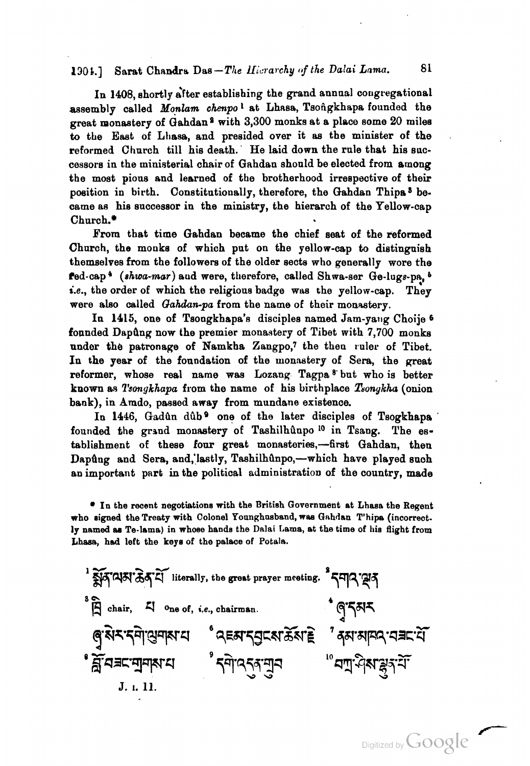## 1304.1 Sarat Chandra Das-The Hicrarchy of the Dalai Lama. 81

In 1408, shortly after establishing the grand annual congregational assembly called *Monlam chenpo*<sup>1</sup> at Lhasa, Tsongkhapa founded the great monastery of  $Gahdan<sup>2</sup>$  with 3,300 monks at a place some 20 miles to the East of **Lhas8,** and presided over it as the minister of the reformed Church till his death. He laid down the rule that his successors in the ministerial chair of Gahdan should be elected from among the most pious and learned of the brotherhood irrespactive of their position in birth. Constitutionally, therefore, the Gahdan Thipa<sup>3</sup> became as his successor in the ministry, the hierarch of the Yellow-cap Church.\*

From that time Gahdan became the chief seat of the reformed Church, the monks of which put on the yellow-cap to distinguish themselves from the followers of the older sects who generally wore the fed-cap<sup>4</sup> (shwa-mar) aud were, therefore, called Shwa-ser Ge-lugs-pa.<sup>5</sup> i.e., the order of which the religious badge was the yellow-cap. They were also called *Gahdan-pa* from the name of their monastery.

In 1415, one of Tsongkhapa's disciples named Jam-yang Choije <sup>6</sup> founded Dapûng now the premier monastery of Tibet with 7,700 monks under the patronage of Namkha Zangpo,7 the then ruler of Tibet. In the year of the foundation of the monastery of Sera, the great reformer, whose real name was Lozang Tagpa<sup>8</sup> but who is better known as *T'smrykhapa* from the name of his birthplace *T60nykha* (onion bank), in Amdo, passed away from mundane existence.

In 1446, Gadûn dûb<sup>9</sup> one of the later disciples of Tsogkhapa founded the grsnd monastery of Taahilhaupo **lo** in Tsang. The establishment of these four great monasteries,-first Gahdan, then Dapûng and Sera, and, lastly, Tashilhûnpo,-which have played such an important pnrt in the political administration of the country, made

**In the recent negotiations with the British Government at Lhasa the Regent who signed the Treaty with Colonel Younghusband, wan** Gnhdan **T'hipa (incorrect.**  ly named as Te-lama) in whose hands the Dalai Lama, at the time of his flight from **Lhasa, had left the keys of the palace of Potale.** 

<sup>1</sup>  $\widetilde{\mathbb{R}}$ [4]  $\widetilde{\mathbb{R}}$   $\widetilde{\mathbb{R}}$   $\widetilde{\mathbb{R}}$ <sup>1</sup> literally, the great prayer meeting.  $^3$   $\widetilde{\mathbb{R}}$   $\widetilde{\mathbb{R}}$ **hi,** 4 **Dne of,** *ir,* **chairman.** ू<br>बुरुरू दमे सुमाय पुरस्का रही का अपने स्वास्थ्य के अन्यान के स्वास्थ्य के स्वास्थ्य के स्वास्थ्य के स्वास्थ्य क • ਬ੍ਰੌ ਕੇ ਕਾ ਕੀਤਾ ਹੈ।<br>• ਬ੍ਰਹ ਕੇ ਕਿਹਾ ਕਿ ਕਿਸਾਨ ਕੀਤਾ ਹੈ। "ผมี ปู่ชะระ J. I. 11.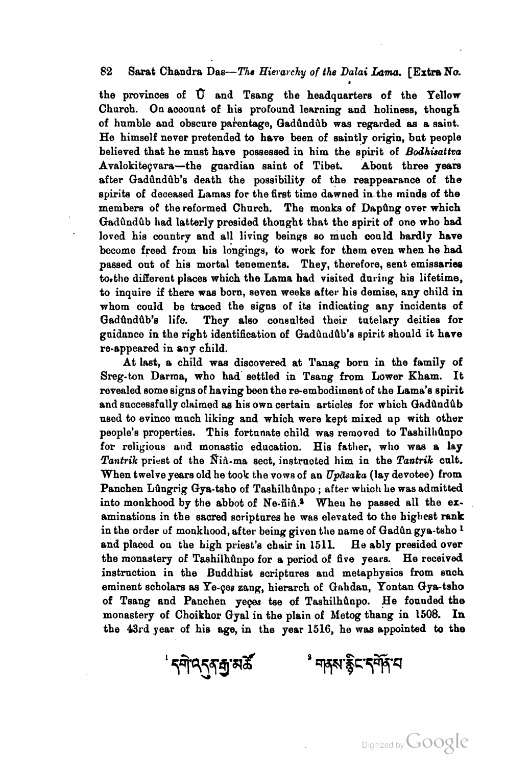## **<sup>82</sup>**Sarat Chandra Das-The *Hievavcky* of the *Dalai* Lqm. [Extra No.

the provinces of  $\hat{U}$  and Tsang the headquarters of the Yellow Church. On account of his profound learning and holiness, though of humble and obscure pahentage, QadQndiib was regarded **as** a saint. He himself never pretended to have been of saintly origin, but people believed that he must have possessed in him the spirit of *Bodhisattco*  Avnlokiteqvara-the guardian saint of Tibet. About three **yeare**  after Gadûndûb's death the possibility of the reappearance of the spirits of deceased Lamas for the first time dawned in the minds of the members of the reformed Church. The monks of Dapung over which Gadûndûb had latterly presided thought that the spirit of one who had loved his country and all living beinqs so much could hardly have become freed from his longings, to work for them even when he had passed out of his mortal tenements. They, therefore, sent emissariee to, the different places which the Lama had visited during his lifetime, **fo** inquire if there waa born, seven weeks after his demise, any child in whom could be traced the signs of its indicating any incidents of Gadûndûb's life. They also consulted their tutelary deities for guidance in the right identification of Gadundub's spirit should it have re-appeared in any child.

At last, a child waa discovered at Tanag born in the family **of**  Sreg-ton Darma, who had' settled in Taang from Lower Kham. It revealed some signs of having been the re-embodiment of the Lama's spirit and successfully claimed as his own certain articles for which Gadundub used to evince much liking and which mere kept mixed **up** with other people's properties. This fortunate child was removed to Tashilhunpo for religious and monastic education. His father, who was a lay *Tantrdk* priest of the Ria-ma sect, instrncted him in the *Tantrik* onlt. When twelve years old he took the vows of an  $Up\bar{a}saka$  (lay devotee) from Panchen Lungrig Gya-tsho of Tashilhunpo; after which he was admitted into monkhood by the abbot of  $Ne\text{-}iii$ .<sup>2</sup> When he passed all the examinations in the sacred scriptures he was elevated to the highest rank in the order of monkhood, after being given the name of Gadûn gya-tsho<sup>1</sup> and placed on the high priest's chair in 1511. **He** ably presided over the monastery of Tashilhûnpo for a period of five years. He received instruction in the Buddhist scriptures and metaphysics from such eminent scholars **as** Ye-qes eang, hierarch of Gahdan, Yontan Gya-tsho of Tsang and Panchen yeçes tse of Tashilhûnpo. He founded the monastery of Choikhor Gyal in the plain of Metog thang in 1508. In the 43rd year of his age, in the year 1516, he **mas** appointed to the

**ᡃ** ॸॺॊ**ঀ**ঀঀয়ড়ৢ

**৾** ন¤ম'ক্কুঁ়়্দ্রন্দ্রি'়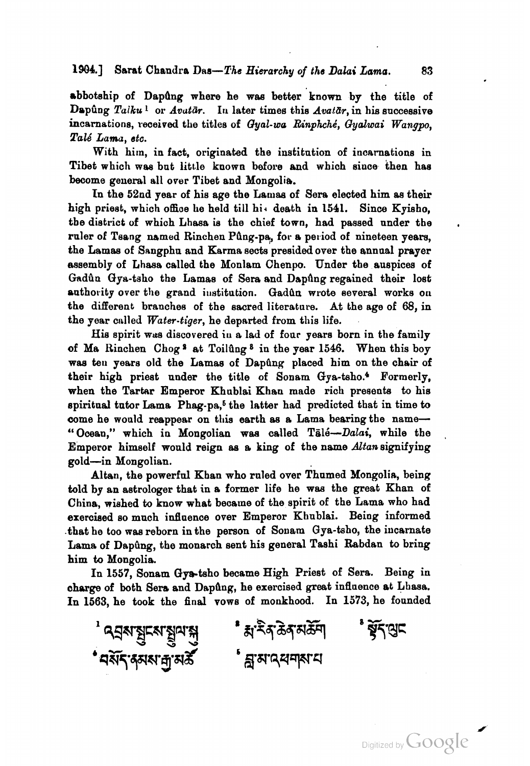### **1909.1** Sarat Chandra *Dna-The* Hierarchy of the Dalui Lama. 83

abbotship of Dapûng where he was better known by the title of Dapûng Talku<sup>1</sup> or *Avutār*. In later times this *Avatār*, in his successive incarnations, received the titles of *Gyal-wa Rinphché*, *Gyalwai Wangpo*, Pa16 Lama, stc.

With him, in fact, originated the institution of incarnations in Tibet which was but little known before and which since then has become general all over Tibet and Mongolia.

In the 52nd year of his age the Lamas of Sera elected him as their high priest, which office he held till hi, death in 1541. Since Kyisho, tbe district of which Lhasa is the chief town, had passed under the ruler of Tsang named Rinchen Pûng-pa, for a period of nineteen years. the Lamas of Sangphu and Karma sects presided over the annual prayer assembly of Lhaaa called the Monlam Chenpo. Under tbe auspices of Gadûn Gya-tsho the Lamas of Sera and Dapfing regained their lost authority over the grand institution. Gadun wrote several works on the different branches of the sacred literature. At the age of 68, in the year called Water-tiger, he departed from this life.

His spirit was discovered in a lad of four years born in the family of Ma Rinchen Chog **9** at Toiliing **8** in the year 1546. When this boy was ten years old the Lamas of Dapûng placed him on the chair of their high priest under the title of Sonam Gya-tsho. $4$  Formerly, when the Tartar Emperor Khublai Khan made rich presents to his spiritual tutor Lama Phag-pa, $<sup>5</sup>$  the latter had predicted that in time to</sup> come he would reappear on this earth as a Lama bearing the name-"Ocean," which in Mongolian was called Talé- $Dala$ i, while the Emperor himself would reign as a king of the name Altan signifying gold-in Mongolian.

Altan, the powerful Khan who ruled over Thumed Mongolia, being told by an astrologer that in a former life he was the great Khan of China, wished **to** know what became of the spirit of the Lama who had exercised so much infinence over Emperor Khnblai. Being informed that he too was reborn in the person of Sonam Qya-tsho, the incarnate Lama of Dapûng, the monarch sent his general Tashi Rabdan to bring him to Mongolia.

In 1557, Sonam Gya-tsho became High Priest of Sera. Being in charge of both Sera and Dapûng, he exercised great influence at Lhasa. In 1563, he took the final vows of moukhood. In 1573, he founded

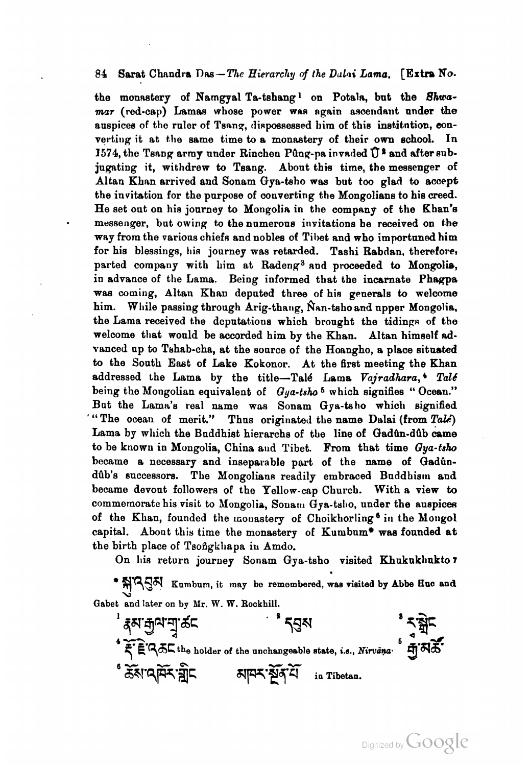#### 84 Sarat Chandra Das - The Hierarchy of the Dulai Lama. [Extra No.

the monastery of Namgyal Ta-tshang<sup>1</sup> on Potala, but the *Shwa*mar (red-cap) Lamas whose power was again ascendant under the auspices of the ruler of Tsang, dispossessed him of this institution, converting it at the same time to a monastery of their own school. In 1574, the Tsang army under Rinchen Pûng-pa invaded  $\hat{U}^*$  and after subjugating it, withdrew **to** Tsang. About this time, the messenger of Altan Khan arrived **and** Sonam Gya-taho wes but too glad to accept the invitation for the purpose of converting the Mongolians to hie creed. He set out on his journey to Mongolia in the company of the Khan's messenger, but owing to the numerous invitations be received on the way from the various chiefs and nobles of Tibet and who importuned him for his blessings, his journey was retarded. Tashi Rabdan, therefore, parted company with him at Radeng<sup>3</sup> and proceeded to Mongolia, in advance of the Lama. Being informed that the incarnate Phagpa was coming, Altan Khan deputed three of his generals to welcome him. While passing through Arig-thang, Nan-tsho and upper Mongolia, the Lama received the deputations which brought the tidings of the welcome that would be accorded him by the Khan. Altan himself advanced up to Tehab-cha, at the source of the Hoangho, a place situated **to** the Sonth East of Lake Kokonor. At the first meeting the Khan addressed the Lama by the title-Talé Lama *Vajradhara*,<sup>4</sup> Talé being the Mongolian equivalent of *Oya-tsho* **6** which signifies " Ocean." But the Lama's real name was Sonam Gya-tsho which signified "The ocean of merit." Thus originated the name Dalai (from Tale) Lama by which the Buddhist hierarchs of the line of Gadun-dub came to be known in Mongolia, China aud Tibet. From that time *Gya-tsho* became a necessary and inseparable part of the name of Gadûndûb's successors. The Mongolians readily embraced Buddhism and became devont followers of the Yellow-cap Church. With a view to commemorate his visit to Mongolia, Sonam Gya-tsho, under the auspices of the Khan, founded the monastery of Choikhorling<sup>6</sup> in the Mongol capital. About this time the monastery of Kumbum\* was founded at the birth place of Tsongkhapa in Amdo.

On his return journey Sonam Gya-tsho visited Khukukhukto 7

**\***  $\frac{1}{2}$ **7**  $\frac{1}{2}$  **Kumbum, it may be remembered, was visited by Abbe Huc and Gabet and later on by Mr. W. W. Rockhill.** 

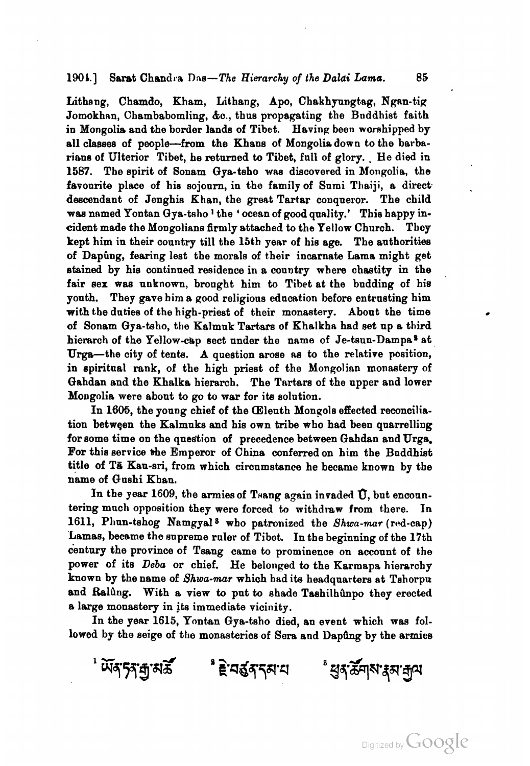### **1906.1** Saret Chandra Das-The Hierarchy of the *Daldi Lama.* **85**

Lithang, Chamdo, Kham, Lithang, Apo, Chakhyungtag, Ngan-tig Jomokhan, Chambabomling, &c., thus propagating the Bnddhist faith in Mongolia and the border lands of Tibet. Having been worshipped by all classes of people-from the Khans of Mongolia down to the barbarians of Ulterior Tibet, he returned to Tibet, full of glory. He died in 1587. The spirit of Sonam Gya-tsho **waa** discovered in Mongolia, the favourite place of his sojourn, in the family of Sumi Thaiji, a direct descendant of Jenghis Khan, the great Tartar conqueror. The child was named Yontan Gya-tsho<sup>1</sup> the 'ocean of good quality.' This happy incident made the Mongolians firmly attached to the Yellow Church. They kept him in their country till the 15th year of his age. The authorities of Dapûng, fearing lest the morals of their incarnate Lama might get etained by his continued residence in a country where chastity in the fair sex waa unknown, brought him **to** Tibet at the budding of hie youth. They gave him a good religious education before entrusting him with the duties of the high-priest of their monastery. About the time of Sonam Gya-tsho, the Kalmuk Tartars of Khalkha had set up a third hierarch of the Yellow-cap sect under the name of Je-tsun-Dampa<sup>s</sup> at Urga-the city of tents. A question arose as to the relative position, in spiritual rank, of the high priest of the Mongolian monastery of Gahdan and the Khalka hierarch. The Tartars of the upper and lower Mongolia were about to go to war for its solution.

In 1605, the young chief of the Cleuth Mongols effected reconciliation between the Kalmuks and hie own tribe who had been quarrelling for some time on the question of precedence between Gahdan and Urga. For this service the Emperor of China conferred on him the Buddhist title of Tā Kau-sri, from which circumstance he became known by the name of Qushi Khan.

In the year 1609, the armies of Tsang again invaded U, but encountering much opposition they were forced to withdraw from there. In 1611, Phun-tshog Namgyal<sup>8</sup> who patronized the Shwa-mar (red-cap) Lamas, became the supreme ruler of Tibet. In the beginning of the 17th century the province of Tsang came to prominence on account of the power of its Deba or chief. He belonged to the Karmapa hierarchy known by the name of *Shwa-mar* which had its headquarters st Tshorpn and Ralûng. With a view to put to shade Tashilhûnpo they erected a large monastery in its immediate vicinity.

In the year 1615, Yontan Gya-tsho died, an event which was followed by the seige of the monasteries of Sera and Dapung by the armies

৾*ॲ§*°५४ अञ्चल अवस्था अन्य अस्त्री अस्य अधिकाली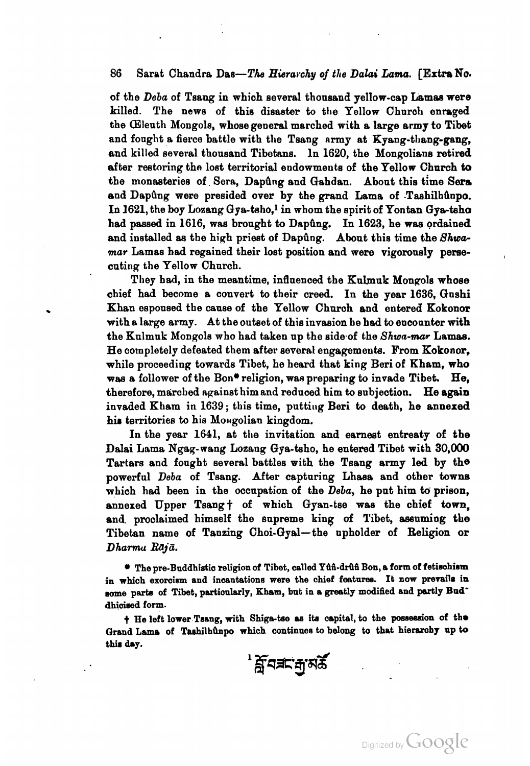#### **86** Sarat Chandra Daa-The *Hierarchy* of *the Daliai* **Lamia.** [Extra **NO.**

of the *Deba* of Tsang in which several thonsand yellow-cap Lamae were killed. The news of this disaster to the Yellow Church enraged the (Eleuth Mongols, whose general marched with a large army to **Tibet**  and fought a fierce battle with the Tsang army at  $Kyang-thang-gang$ . and killed several thonsand Tibetans. In 1620, the Mongolians retired after restoring the lost territorial endowments of the Yellow Church to the monasteries of. Sera, Dapdng and Gahdan. About this time **Sers**  and Dapûng were presided over by the grand Lama of Tashilhûnpo. In 1621, the boy Lozang  $Gya-tsho,$ <sup>1</sup> in whom the spirit of Yontan  $Gya-tsho$ had passed in 1616, was brought to Dapûng. In 1623, he was ordained and installed as the high priest of Dapûng. About this time the *Shwa***mar** Lamas had regained their lost position and were vigoronely pereecnting the Yellow Church.

They had, in the meantime, influenced the Kulmuk Mongols whose chief had become a convert to their creed. In the year 1636, Gnshi Khan espoused the cause of the Yellow Church and entered Kokonor with a large army. At the outset of this invasion he **had** to encounter with the Kulmuk Mongols who had taken up the side.of the *Shwn-mar* Lamaa. He completely defeated them after eeveral engagements. From Kokonor, while proceeding towards Tibet, he heard that king Beri of Kham, who was a follower of the Bon\* religion, was preparing to invade Tibet. He. therefore, marched against him and reduced him to subjection. He again invaded Kham in 1639; this time, putting Beri to death, he annexed his territories to his Mongolian kingdom.

In the year 1641, at the invitation and earnest entreaty of the Dalai Lama Ngag-wang Lozaug Gya-tsho, he entered Tibet with 30,000 Tartars and fought several battles with the Tsang army led by the powerful *Deba* of Tsang. After capturing Lhasa and other towns which had been in the occupation of the *Deba*, he put him to prison, annexed Upper Tsang + of which Gyan-tse was the chief town, and. proclaimed himself the supreme king of Tibet, assuming the Tibetan name of Tanzing Choi-Gyal-the upholder of Religion or *Dhamu Rajii.* 

**The pre-Buddhistic religion of Tibet, called Yth-druh Bon, a form of fetischism** in which exorcism and incantations were the chief features. It now prevails in some parts of Tibet, partioularly, Kham, but in a greatly modified and partly Bud<sup>-</sup> **dhioised form.** 

 $\dagger$  He left lower Tsang, with Shiga-tse as its capital, to the possession of the **Grand Lama of TaehilhQnpo which oontinnea to** belong **to that hiemby up to this day.** 

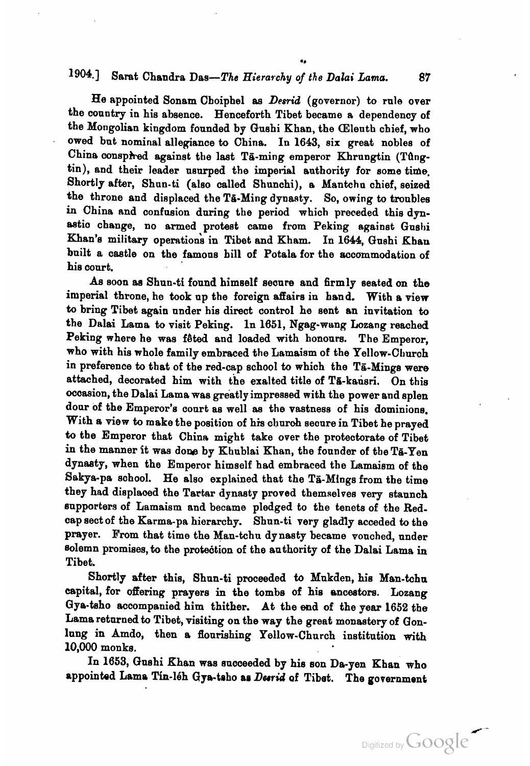# **l904.1** Saret Chandra Daa-The **Hiernwhy** of the *Dolai Lama. 87*

**4.** 

He appointed Sonam Choiphel **as** *Desriid* (governor) to rule over the country in his absence. Henceforth Tibet became a dependency of the Mongolian kingdom founded by Qnshi Khan, the (Eleuth chief, who owed but nominal a1lep;iance **to** China, In 1693, six great nobles of China conspired against the last Ta-ming emperor Khrungtin (Tûngtin), and their leader usurped the imperial authority for some time. Shortly after, Shun-ti (also called Shunchi), a Mantchu chief, seized the throne and displaced the Ta-Ming dynasty. So, owing to troubles in China and confusion during the period which preceded this dynastic change, no armed protest came from Peking against Gushi Khan's military operations in Tibet and Kham. In 1644, Gushi Khan built a castle on the famous hill of Potala for the accommodation of his conrt.

**Aa** soon **aa** Shun-ti found himself secnre and firmly seated on the imperial throne, he took up the foreign affairs in hand. With a view to bring Tibet again nnder his direct control he sent an invitation to the Dalai Lama to visit Peking. In 1651, Ngag-wang Lozang reached Peking where he was fêted and loaded with honours. The Emperor, who with his whole family embraced the Lamaism of the Yellow-Cburch in preference to that of the red-cap school to which the TG-Mings **were**  attached, decorated him with the exalted title of Ta-kausri. On this occasion, the Dalai Lama was greatly impressed with the power and splen door of the Emperor's court as well as the vastness of his dominions. With **a** view to make the position of **his** dluroh secure in Tibet he prayed **fo** the Emperor that China might take over the protectorate of Tibet in the manner it was done by Khublai Khan, the founder of the Ta-Yen dynasty, when the Emperor himself had embraced the Lamaism of the Sakya-pa school. He also explained that the Ta-Mings from the time they had displaoed the Tartar dynasty proved themselves very staunch supporters of Lamaism and became pledged to the tenets of the Redcap sect of the Karma-pa hierarchy. Shun-ti very gladly acceded to the prayer. From that time the Man-tchn dynasty became vouched, under solemn promises, to the protection of the authority of the Dalai Lama in Tibet.

Shortly after this, Shun-ti proceeded to Mukden, his Man-tchu capital, for offering prayers in the tombs of his ancestors. Lozang Qya-taho accompanied him thither. At the end of the year 1652 the Lama returned to Tibet, visiting on the way the great monastery of Qonlung in Amdo, then a flourishing Yellow-Church institution with 10,000 monke.

In 1653, Gushi Khan was succeeded by his son Da-yen Khan who appointed Lama Tin-16h Gya-tabo as *Derrid* of Tibet. The government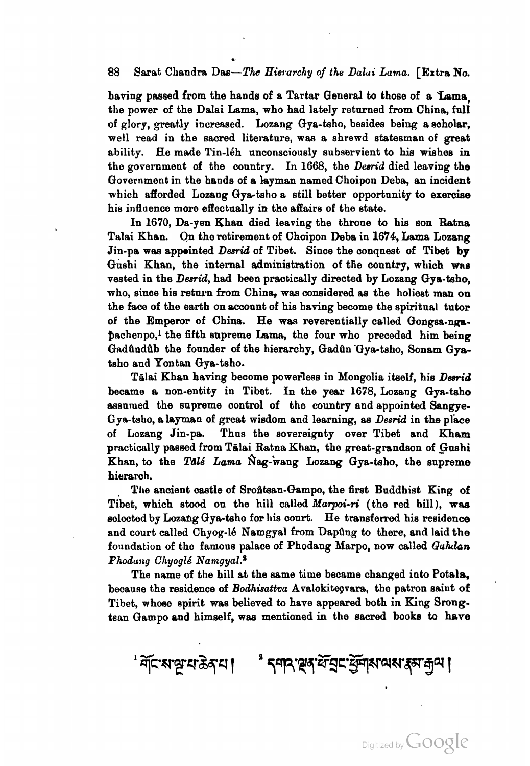### 88 Sarat Chandra Das—The Hierarchy of the Dalui Lama. [Extra No.

having passed from the hands of a Tartar General to those of a Lama, the power of the Dalai Lama, who had lately returned from China, full of glory, greatly increased. Lozang Gye-tsho, besides being a scholar, well read in the sacred literature, was a shrewd statesman of great ability. He made Tin-léh unconsciously subservient to his wishes in the government of the country. In 1668, the *Desn'd* died leaving the Government in the hands of a layman named Choipon Deba, an incident which afforded Lozang Gya-tsho a still better opportunity to exercise his inflaence more effectually in the affairs of the state.

In 1670, Da-yen Khan died leaving the throne to his son Ratna Talai Khan. On the retirement of Choipou Debs in 1674, Lama Lozang Jin-pa was appointed *Desrid* of Tibet. Since the conquest of Tibet by Gushi Khan, the internal administration of the country, which was vested in the Desrid, had been practically directed by Lozang Gya-tsho, who, since his return from China, was considered as the holiest man on the **face** of the earth on wconnt of his having become the spiritual tutor of the Emperor of Chins. He **was** reverentially called Gongsa-nppachenpo,<sup>1</sup> the fifth supreme Lama, the four who preceded him being Gadûndûb the founder of the hierarchy, Gadûn Gya-tsho, Sonam Gyatsho and Yontan Gya-tsho.

Tālai Khan having become powerless in Mongolia itself, his *Desrid* became a non-entity in Tibet. In the year 1678, Lozang Gya-taho assumed the supreme control of the country and appointed Sangye-Gya-tsho, a layman of great wisdom and learning, as  $Desrid$  in the place of Lozang Jin-pa. Thus the sovereignty over Tibet and Kham practically passed from Tālai Ratna Khan, the great-grandson of Gushi Khan, to the *Talé Lama* Nag-wang Lozang Gya-tsho, the supreme hierarch.

The ancient castle of Srontsan-Gampo, the first Buddhist King of Tibet, which stood on the hill called *Marpoi-ri* (the red hill), was selected by Lozahg Gya-taho for his court. He transferred his residence and court called Chyog-16 Namgyal from Dapûng to there, and laid the foundation of the famous palace of Phodang Marpo, now called Guhdan *Phodung Chyoglé Namqyal.*<sup>2</sup>

The name of the hill at the same time became changed into Potala, because the residence of *Bodhisattva* Avalokiteçvara, the patron saint of Tibet, whose spirit **was** believed to have appeared both in King Srongtsan Gampo and himself, **wae** mentioned in the sacred booka to hare

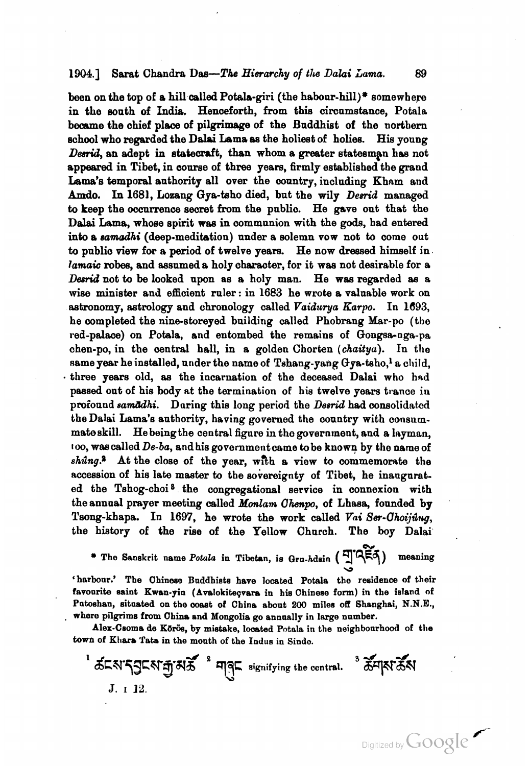#### **1904.1** Sarat Chandra Das—The Hierarchy of the Dalai Lama. 89

been on the top of a hill called Potala-giri (the habour-hill)\* somewhere in the south of India. Henceforth, from this circumstance, Potala became the chief placa of pilgrimage of the Buddhist of the northern school who regarded the Dalai Lama as the holiest of holies. His young Desrid, an adept in statecraft, than whom a greater statesman has not appeared in Tibet, in course of three yeam, firmly established the grand Lama's temporal authority all over the country, including Kham and Amdo. In 1681, Lozang Gya-tsho died, but the wily *Desrid* managed to keep the occurrence secret from the publio. He gave out that the **Dalmi** Lama, whose spirit wee in communion with the **gods,** had entered **into** a *samodhi* (deep-meditation) under a solemn vow not to come out to public view for a period of twelve years. He now dressed himself in. *lamaic* **robes,** and assnmed a holy charaoter, for it wae not desirable for a *Desrid* not to be looked upon as a holy man. He was regarded as a wise minister and efficient ruler: in 1683 he wrote a valuable work on astronomy, astrology and chronology called *Vaiduya Earpo.* In *2693,*  he oompleted the nine-storeyed building called Phobrang Mar-po (the red-palace) on Potala, and entombed the remains of Gongsa-nga-pa chen-po, in the central hall, in a golden Chorten (chaitya). In the same year he installed, under the name of Tshang-yang  $G_{\text{VA}}$ -taho,<sup>1</sup> a child, three **years** old, as the incarnation of the deceased Dalai who had passed out of hie body **at** the termination of his twelve years trance iu profound samdchi. During this long period the *Desrid* had consolidated theDalai Lama's authority, having governed the country with consummateskill. Hebeingthe central figure in the government, and a layman, **loo,** wascalled **De-ba,** and his governmentcame tobe known by the name of *shing.*<sup>8</sup> At the close of the year, with a view to commemorate the accession of his late maater to the sovereignty of Tibet, he inangurated the Tshog-choi<sup>8</sup> the congregational service in connexion with the annual prayer meeting called *hionlam Ohpo,* of Lhasa, founded by Tsong-khapa. In 1697, he wrote the work called *Vai Ser-Uhoijdrg,*  the history of the rise of the Yellow Church. The boy Dalai

**h\*** \* **The Sanskrit name Pofula in Tibetan, is Qrn-hdain** ( **yTE,q) meaning**   $\frac{1}{2}$ 

'harbour.' The Chinese Buddhists have located Potala the residence of their favourite saint Kwan-yin (Avalokiteçvara in his Chinese form) in the island of **Pntoshan, situated on the ooast of China about 200 miles off Shanghai, N.N.E.,**  . **where pilgrim8 from China and Mongolia go annually in large number.** 

Alex-Csoma de Körös, by mistake, located Potala in the neighbourhood of the **town of Khara Tata in the month of the Indue in Sindo.** 

 $^1$  க்டலதுடன் துவுக்க் கொட்டிய கால் கான் கான் கான் கான் கான் கான் J. 1 12.

Digitized by Google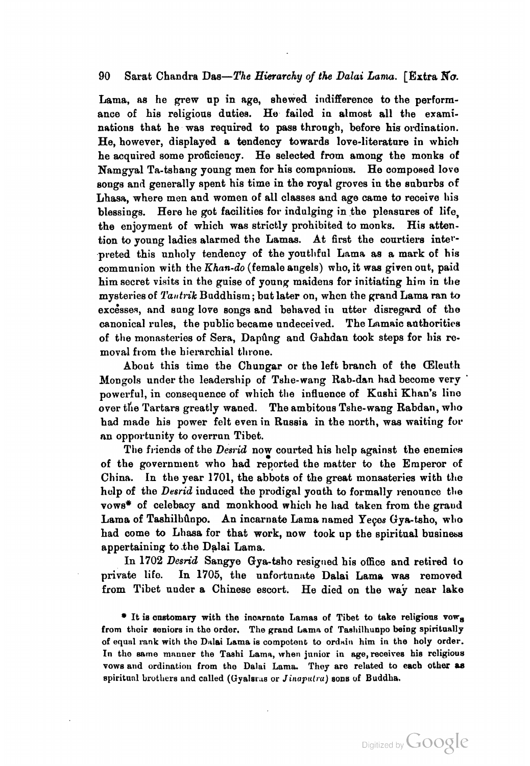#### **90** Sarat Chandra Das-The Hierarchy of the **Dalai** *Lanua.* [Extra No.

Lama, as he grew up in age, shewed indifference to the performance of his religious duties. He failed in almost all the examinations that he was required to pass through, before his ordination. He, however, displayed a tendency towards love-literature in which he acquired some proficiency. He selected from among the monks of Namgyal Ta-tshang young men for his compnnions. He composed love songs and generally spent his time in the royal groves in the suburbs of Lhasa, where men and women of all classes and age came to receive his blessings. Here he got facilities for indulging in the plensnres of life, the enjoyment of which was strictly prohibited to monks. His attention to voung ladies alarmed the Lamas. At first the courtiers interpreted this unholy tendency of the youthful Lama as a mark of his communion with the Khan-do (female angels) who, it was given out, paid him secret visits in the guise of young maidens for initiating him in the mysteries of *Tantrik* Buddhism; but later on, when the grand Lama ran to excesses, and sung love songs and behaved in utter disregard of the canonical rules, the public became undeceived. The Lnmaic adthoritics of the monasteries of Sera, Dapung and Gahdan took steps for his removal from the hierarchial throne.

About this time the Chungar or the left branch of the (Eleuth Mongols under the leadership of Tshe-wang Rab-dan had become very powerful, in consequence of which the influence of Kushi Khan's line over the Tartars greatly waned. The ambitous Tshe-wang Rabdan, wllo had made his power felt even in Russia in the north, was waiting for nn opportunity to overrun Tibet.

The friends of the Desrid now courted his help against the enemies of the government who had reported the matter to the Emperor of China. In the year 1701, the abbots of the great monasteries with the help of the Desrid induced the prodigal youth to formally renounce the vows<sup>\*</sup> of celebacy and monkhood which he had taken from the graud Lama of Tashilhûnpo. An incarnate Lama named Yeços Gya-tsho, who had come to Lhasa for that work, now took up the spiritual business appertaining to .the Dalai Lama.

In 1702 Desrid Sangye Gya-tsho resigned his office and retired to private life. In 1705, the unfortunate Dalai Lama was removed from Tibet under a Chinese escort. He died on the way near lake

**It ia onatornary with the incarnate Lamas of Tibet to take religions vowa from their eeniors in tho order. The grand Lamn of Tasllilhunpo being spiritnnlly**  of equal rank with the Dalai Lama is competent to ordain him in the holy order. In the same manner the Tashi Lama, when junior in age, receives his religious vows and ordination from the Dalai Lama. They are related to each other as spiritual brothers and called (Gyalarus or *Jinaputra*) sons of Buddha.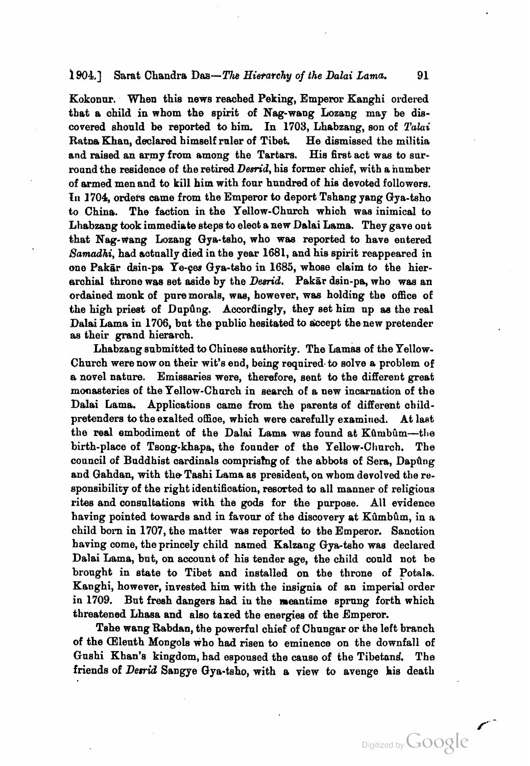#### **1904.1** Sarat Chandra Das—The Hierarchy of the Dalai Lama. 91

Kokonnr. When this news reached Peking, Emperor Kanghi ordered that a child in whom the spirit of Nag-wang Lozang may be discovered should be reported to him. In 1703, Lhabzang, son of Talai Ratna Khan, declared himself ruler of Tibet. He dismissed the militia and raised an army from among the Tartars. His first act was to surround the residence of the retired *Desrid*, his former chief, with a number of armed men and to kill him with four hundred of his devoted followers. **<sup>111</sup>**1704 orders came from the Emperor to deport Tshang yang Gya-tsho to China. The faction in the Yellow-Church which was inimical to Lhabzang took immediate steps to elect a new Dalai Lama. They gave out that Nag-wang Lozang Gya-tsho, who was reported to have entered Samadhi, had actually died in the year 1681, and his spirit reappeared in one Pak&r &in-pa Ye-gea Gya-taho in 1685, whose claim to the hierarchial throne was set aside by the *Desrid*. Pakar dsin-pa, who was an ordained monk of pnremorals, wee, however, was holding the office of the high priest of Dnpilng. Accordingly, they set him up **aa** the real Dalai Lama in 1706, but the public hesitated to accept the new pretender **as** their grand hierarch.

Lhabzang submitted to Chinese authority. The Lamaa of the Yellow-Church were now on their wit's end, being required. to solve a problem of a novel nature. Emissaries were, therefore, sent to the different great monasteries of the Yellow-Church in search of a new incarnation of the Dalai Lama. Applications came from the parents of different childpretenders to the exalted office, which were carefully examined. At last the real embodiment of the Dalai Lama was found at Kûmbûm-the birth-place of Tsong-khapa, the founder of the Yellow-Church. The council of Buddhist cardinals comprising of the abbots of Sera, Dapung and Gahdan, with the Tashi Lama as president, on whom devolved the responsibility of the right identification, resorted to all manner of religious rites and consultations with the gods for the purpose. All evidence having pointed towards and in favour of the discovery at Kûmbûm, in a child born in 1707, the matter was reported to the Emperor. Sanction having come, the princely child named Kalzang Gya-tsho was declared Dalai Lama, but, on account of his tender age, the child could not be brought in state to Tibet and installed on the throne of Potala. Kanghi, however, invested him with the insignia of an imperial order in 1709. Bnt freeh dangers had iu the meantime sprung forth which threatened Lhasa and also taxed the energies of the Emperor.

*Tehe* wang Rabdan, the powerful chief of Chnngar or the left branch of the Cleuth Mongols who had risen to eminence on the downfall of Gushi Khan's kingdom, had espoused the cause of the Tibetand. The friends of *Derrid* Sangye Gya-tsho, with a view to avenge his death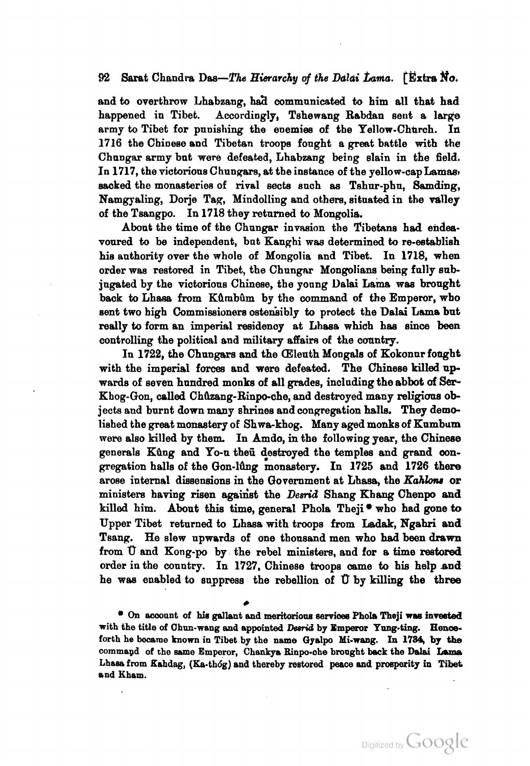### 92 Sarat Chandra Das—The Hierarchy of the Dalai Lama. **[Rxtra No.**

and to overthrow Lhabzang, had communicated to him all that had happened in Tibet. Accordingly, Tshewang Rabdan sent a large army to Tibet for punishing the enemies of the Yellow-Church. In 1716 the Chinese and Tibetan troops fought a great battle with the Chnngar army bnt were defeated, Lhabzang being slain in the field. In 1717, the victorions Chungars, at the instance of the yellow-cap Lamas. sacked the monasteries of rival sects such as Tshur-phn, Samding, Namgyaling, Dorje Tag, Mindolling and others, situated in the valley of the Tsangpo. In 1718 they returned to Mongolia.

Abont the time of the Chnngar invasion the Tibetans had endeavoured to be independent, but Kanghi was determined to re-eetablish his authority over the whole of Mongolia and Tibet. In 1718, when order was restored in Tibet, the Chungar Mongolians being fully subjugated by the victorious Chinese, the young Dalai Lama was brought back to Lhasa from Kûmbûm by the command of the Emperor, who sent two high Commissionere osteniibly **to** protect the Dalai Lama but really to form an imperial reaidenoy at Lhaaa which has **since been**  controlling the political and military affairs of the country.

In 1722, the Chungars and the Cileuth Mongals of Kokonur fought with the imperial forces and were defeated. The Chinese killed upwards of seven hundred monks of all grades, including the abbot of Ser-Khog-Gon, called Chûzang-Rinpo-che, and destroyed many religious objects and burnt down many shrines and congregation halls. They demolished the great monastery of Shwa-khog. Many aged monks of Kumbum mere also killed by them. In Amdo, in the following year, the Chinese generals Kûng and Yo-u theü destroyed the temples and grand conpegation halls of the Gon-1Qng monastery. In 1725 **and** 1726 there arose internal dissensions in the Government at Lhasa, the Kahlons or ministers having risen agaixist the *Dewid* Shang Khang Chenpo **and**  killed him. About this time, general Phola Theji $*$  who had gone to Upper Tibet returned to Lhasa with troops from **Ladak,** Ngahri and Tsang. He slew upwards of one thousand men who **had** been **drawn**  from U and Kong-po by the rebel ministers, and for a time restored ordep in the country. In 1727, Chinese troops came to **hie** help **and**  he was enabled to snppresa the rebellion of **tf** by killing the three

**On aooonnt of hie gallant and meritmione earvioee Phoh** Theji **we invented**  with the title of Chun-wang and appointed *Desrid* by Emperor Yung-ting. Hence**forth he became known in Tibet by the** name **Cfyalpo Mi-wang. In 1784 by the**  command of the same Emperor, Chankya Rinpo-che brought back the Dalai Lama **Lhase from Kshdag, (Ka.th6g) and thereby reetored peace md proeparity** in **Tibet and Kham.** 

#